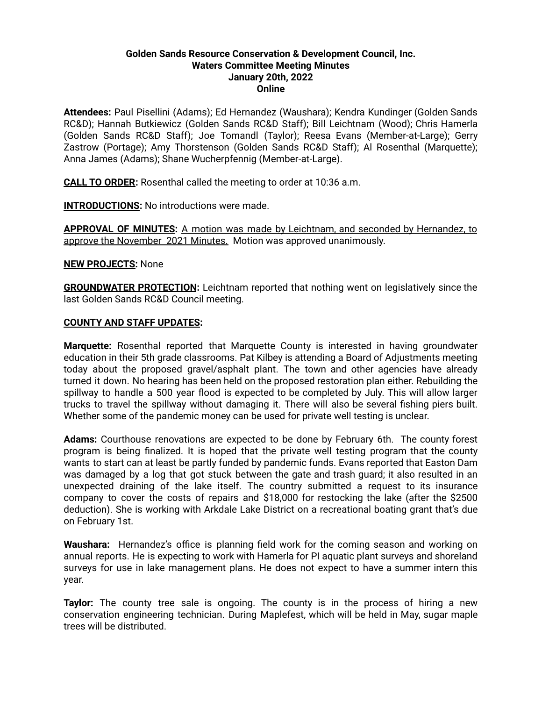## **Golden Sands Resource Conservation & Development Council, Inc. Waters Committee Meeting Minutes January 20th, 2022 Online**

**Attendees:** Paul Pisellini (Adams); Ed Hernandez (Waushara); Kendra Kundinger (Golden Sands RC&D); Hannah Butkiewicz (Golden Sands RC&D Staff); Bill Leichtnam (Wood); Chris Hamerla (Golden Sands RC&D Staff); Joe Tomandl (Taylor); Reesa Evans (Member-at-Large); Gerry Zastrow (Portage); Amy Thorstenson (Golden Sands RC&D Staff); Al Rosenthal (Marquette); Anna James (Adams); Shane Wucherpfennig (Member-at-Large).

**CALL TO ORDER:** Rosenthal called the meeting to order at 10:36 a.m.

**INTRODUCTIONS:** No introductions were made.

**APPROVAL OF MINUTES:** A motion was made by Leichtnam, and seconded by Hernandez, to approve the November 2021 Minutes. Motion was approved unanimously.

**NEW PROJECTS:** None

**GROUNDWATER PROTECTION:** Leichtnam reported that nothing went on legislatively since the last Golden Sands RC&D Council meeting.

## **COUNTY AND STAFF UPDATES:**

**Marquette:** Rosenthal reported that Marquette County is interested in having groundwater education in their 5th grade classrooms. Pat Kilbey is attending a Board of Adjustments meeting today about the proposed gravel/asphalt plant. The town and other agencies have already turned it down. No hearing has been held on the proposed restoration plan either. Rebuilding the spillway to handle a 500 year flood is expected to be completed by July. This will allow larger trucks to travel the spillway without damaging it. There will also be several fishing piers built. Whether some of the pandemic money can be used for private well testing is unclear.

**Adams:** Courthouse renovations are expected to be done by February 6th. The county forest program is being finalized. It is hoped that the private well testing program that the county wants to start can at least be partly funded by pandemic funds. Evans reported that Easton Dam was damaged by a log that got stuck between the gate and trash guard; it also resulted in an unexpected draining of the lake itself. The country submitted a request to its insurance company to cover the costs of repairs and \$18,000 for restocking the lake (after the \$2500 deduction). She is working with Arkdale Lake District on a recreational boating grant that's due on February 1st.

**Waushara:** Hernandez's office is planning field work for the coming season and working on annual reports. He is expecting to work with Hamerla for PI aquatic plant surveys and shoreland surveys for use in lake management plans. He does not expect to have a summer intern this year.

**Taylor:** The county tree sale is ongoing. The county is in the process of hiring a new conservation engineering technician. During Maplefest, which will be held in May, sugar maple trees will be distributed.